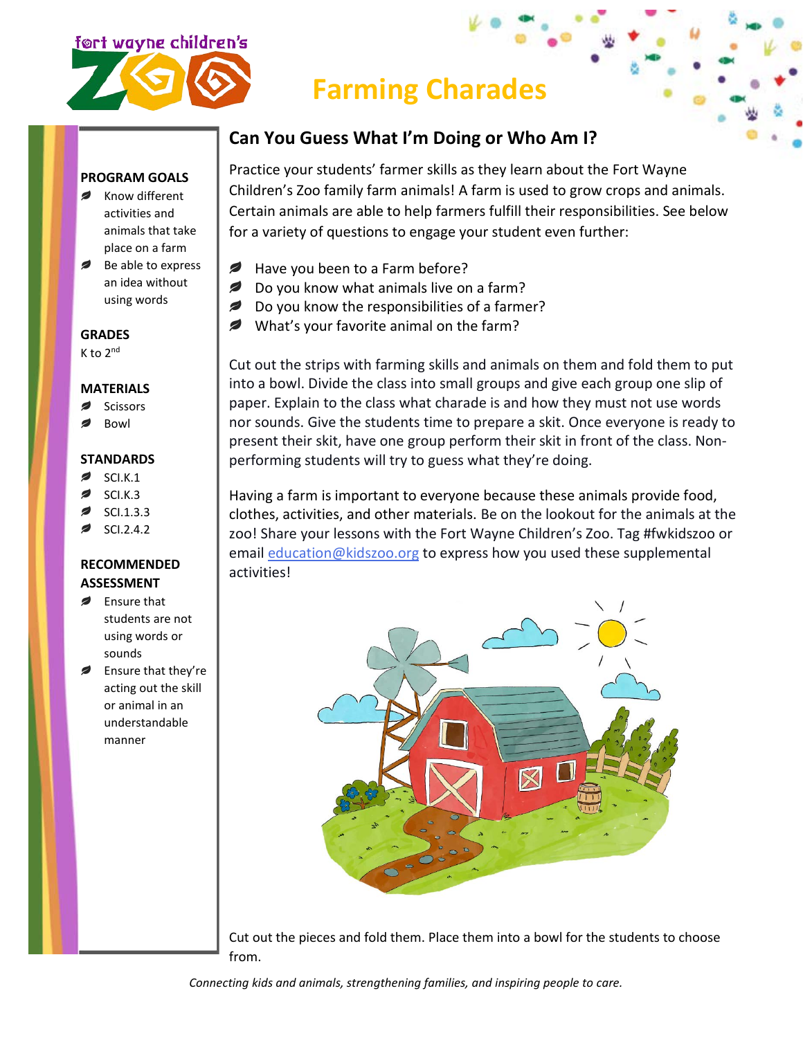

## **Farming Charades**

## **Can You Guess What I'm Doing or Who Am I?**

## **PROGRAM GOALS**

- Know different activities and animals that take place on a farm
- Be able to express an idea without using words

## **GRADES**

K to 2nd

## **MATERIALS**

- **Scissors**
- Bowl

#### **STANDARDS**

- SCI.K.1
- SCI.K.3
- SCI.1.3.3
- SCI.2.4.2

#### **RECOMMENDED ASSESSMENT**

- *,* Ensure that students are not using words or sounds
- $\overline{\phantom{a}}$ Ensure that they're acting out the skill or animal in an understandable manner

Practice your students' farmer skills as they learn about the Fort Wayne Children's Zoo family farm animals! A farm is used to grow crops and animals. Certain animals are able to help farmers fulfill their responsibilities. See below for a variety of questions to engage your student even further:

- Have you been to a Farm before? *₽*
- *ø* Do you know what animals live on a farm?
- Do you know the responsibilities of a farmer?
- What's your favorite animal on the farm?

Cut out the strips with farming skills and animals on them and fold them to put into a bowl. Divide the class into small groups and give each group one slip of paper. Explain to the class what charade is and how they must not use words nor sounds. Give the students time to prepare a skit. Once everyone is ready to present their skit, have one group perform their skit in front of the class. Nonperforming students will try to guess what they're doing.

Having a farm is important to everyone because these animals provide food, clothes, activities, and other materials. Be on the lookout for the animals at the zoo! Share your lessons with the Fort Wayne Children's Zoo. Tag #fwkidszoo or email [education@kidszoo.org](mailto:education@kidszoo.org) to express how you used these supplemental activities!



Cut out the pieces and fold them. Place them into a bowl for the students to choose from.

*Connecting kids and animals, strengthening families, and inspiring people to care.*